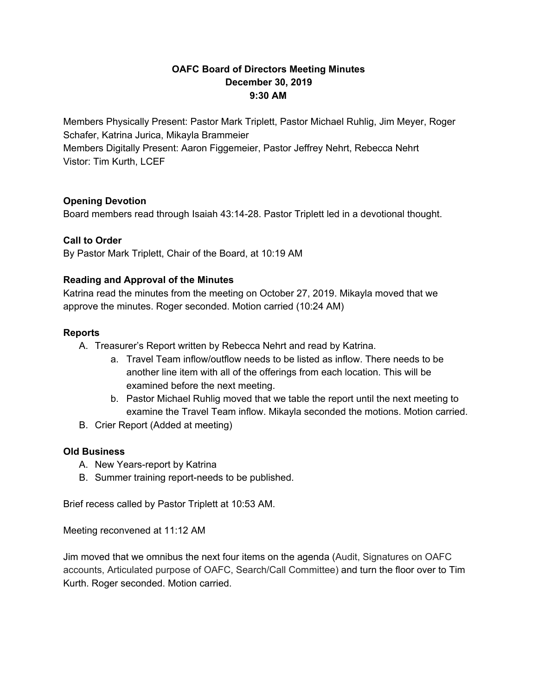## **OAFC Board of Directors Meeting Minutes December 30, 2019 9:30 AM**

Members Physically Present: Pastor Mark Triplett, Pastor Michael Ruhlig, Jim Meyer, Roger Schafer, Katrina Jurica, Mikayla Brammeier Members Digitally Present: Aaron Figgemeier, Pastor Jeffrey Nehrt, Rebecca Nehrt Vistor: Tim Kurth, LCEF

## **Opening Devotion**

Board members read through Isaiah 43:14-28. Pastor Triplett led in a devotional thought.

# **Call to Order**

By Pastor Mark Triplett, Chair of the Board, at 10:19 AM

## **Reading and Approval of the Minutes**

Katrina read the minutes from the meeting on October 27, 2019. Mikayla moved that we approve the minutes. Roger seconded. Motion carried (10:24 AM)

## **Reports**

- A. Treasurer's Report written by Rebecca Nehrt and read by Katrina.
	- a. Travel Team inflow/outflow needs to be listed as inflow. There needs to be another line item with all of the offerings from each location. This will be examined before the next meeting.
	- b. Pastor Michael Ruhlig moved that we table the report until the next meeting to examine the Travel Team inflow. Mikayla seconded the motions. Motion carried.
- B. Crier Report (Added at meeting)

## **Old Business**

- A. New Years-report by Katrina
- B. Summer training report-needs to be published.

Brief recess called by Pastor Triplett at 10:53 AM.

Meeting reconvened at 11:12 AM

Jim moved that we omnibus the next four items on the agenda (Audit, Signatures on OAFC accounts, Articulated purpose of OAFC, Search/Call Committee) and turn the floor over to Tim Kurth. Roger seconded. Motion carried.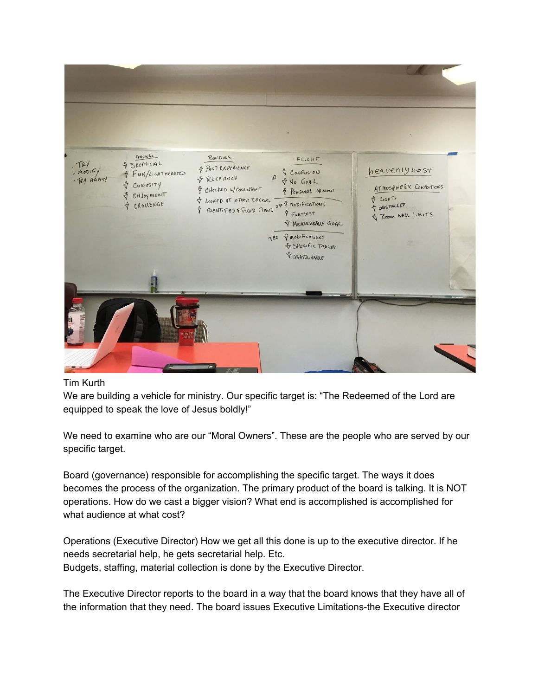

### Tim Kurth

We are building a vehicle for ministry. Our specific target is: "The Redeemed of the Lord are equipped to speak the love of Jesus boldly!"

We need to examine who are our "Moral Owners". These are the people who are served by our specific target.

Board (governance) responsible for accomplishing the specific target. The ways it does becomes the process of the organization. The primary product of the board is talking. It is NOT operations. How do we cast a bigger vision? What end is accomplished is accomplished for what audience at what cost?

Operations (Executive Director) How we get all this done is up to the executive director. If he needs secretarial help, he gets secretarial help. Etc. Budgets, staffing, material collection is done by the Executive Director.

The Executive Director reports to the board in a way that the board knows that they have all of the information that they need. The board issues Executive Limitations-the Executive director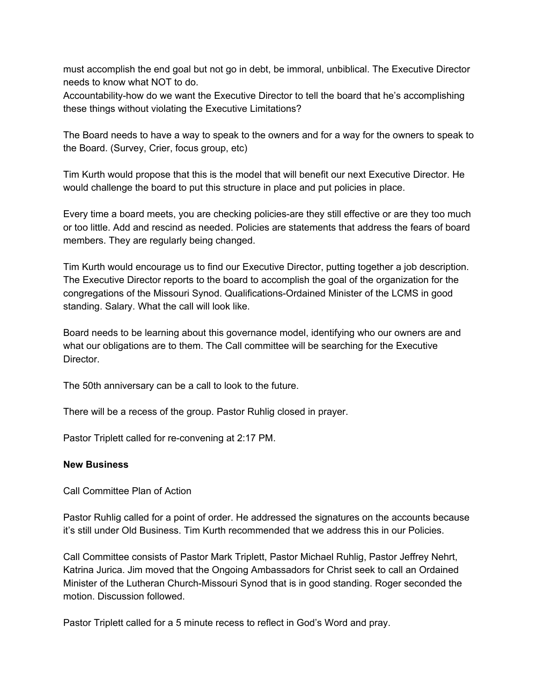must accomplish the end goal but not go in debt, be immoral, unbiblical. The Executive Director needs to know what NOT to do.

Accountability-how do we want the Executive Director to tell the board that he's accomplishing these things without violating the Executive Limitations?

The Board needs to have a way to speak to the owners and for a way for the owners to speak to the Board. (Survey, Crier, focus group, etc)

Tim Kurth would propose that this is the model that will benefit our next Executive Director. He would challenge the board to put this structure in place and put policies in place.

Every time a board meets, you are checking policies-are they still effective or are they too much or too little. Add and rescind as needed. Policies are statements that address the fears of board members. They are regularly being changed.

Tim Kurth would encourage us to find our Executive Director, putting together a job description. The Executive Director reports to the board to accomplish the goal of the organization for the congregations of the Missouri Synod. Qualifications-Ordained Minister of the LCMS in good standing. Salary. What the call will look like.

Board needs to be learning about this governance model, identifying who our owners are and what our obligations are to them. The Call committee will be searching for the Executive Director.

The 50th anniversary can be a call to look to the future.

There will be a recess of the group. Pastor Ruhlig closed in prayer.

Pastor Triplett called for re-convening at 2:17 PM.

#### **New Business**

Call Committee Plan of Action

Pastor Ruhlig called for a point of order. He addressed the signatures on the accounts because it's still under Old Business. Tim Kurth recommended that we address this in our Policies.

Call Committee consists of Pastor Mark Triplett, Pastor Michael Ruhlig, Pastor Jeffrey Nehrt, Katrina Jurica. Jim moved that the Ongoing Ambassadors for Christ seek to call an Ordained Minister of the Lutheran Church-Missouri Synod that is in good standing. Roger seconded the motion. Discussion followed.

Pastor Triplett called for a 5 minute recess to reflect in God's Word and pray.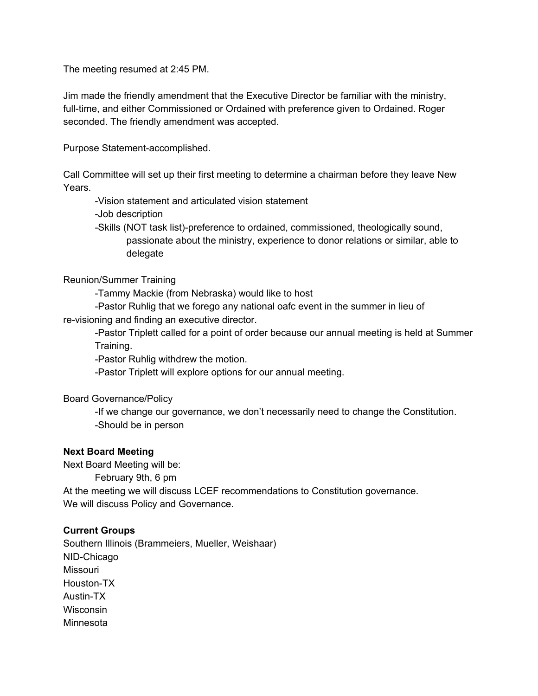The meeting resumed at 2:45 PM.

Jim made the friendly amendment that the Executive Director be familiar with the ministry, full-time, and either Commissioned or Ordained with preference given to Ordained. Roger seconded. The friendly amendment was accepted.

Purpose Statement-accomplished.

Call Committee will set up their first meeting to determine a chairman before they leave New Years.

-Vision statement and articulated vision statement

-Job description

-Skills (NOT task list)-preference to ordained, commissioned, theologically sound, passionate about the ministry, experience to donor relations or similar, able to delegate

### Reunion/Summer Training

-Tammy Mackie (from Nebraska) would like to host

-Pastor Ruhlig that we forego any national oafc event in the summer in lieu of re-visioning and finding an executive director.

-Pastor Triplett called for a point of order because our annual meeting is held at Summer Training.

-Pastor Ruhlig withdrew the motion.

-Pastor Triplett will explore options for our annual meeting.

Board Governance/Policy

-If we change our governance, we don't necessarily need to change the Constitution. -Should be in person

### **Next Board Meeting**

Next Board Meeting will be:

February 9th, 6 pm

At the meeting we will discuss LCEF recommendations to Constitution governance. We will discuss Policy and Governance.

### **Current Groups**

Southern Illinois (Brammeiers, Mueller, Weishaar) NID-Chicago Missouri Houston-TX Austin-TX **Wisconsin** Minnesota